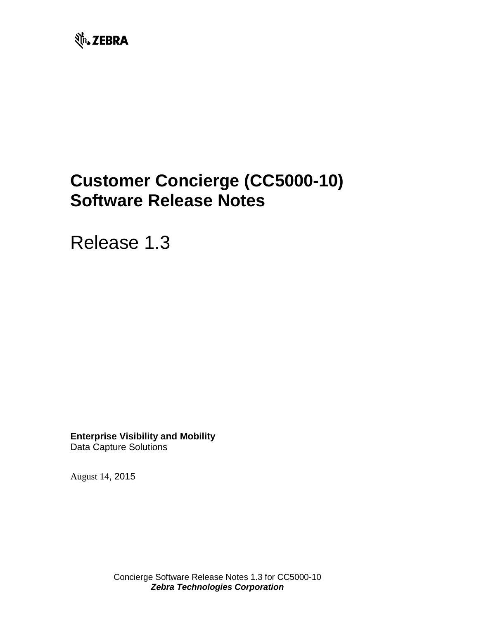

# **Customer Concierge (CC5000-10) Software Release Notes**

Release 1.3

**Enterprise Visibility and Mobility** Data Capture Solutions

August 14, 2015

Concierge Software Release Notes 1.3 for CC5000-10 *Zebra Technologies Corporation*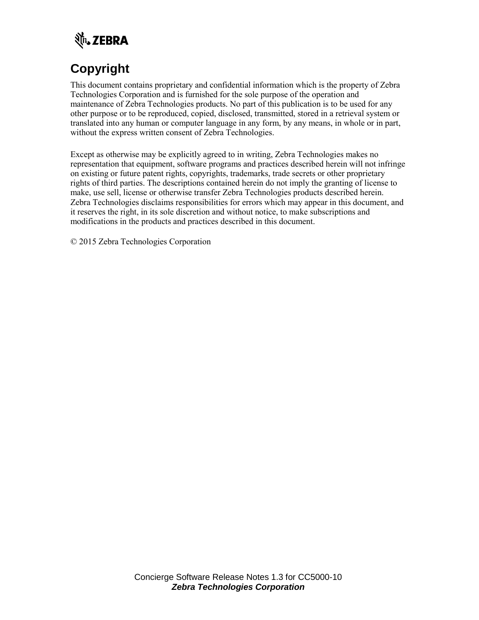

# **Copyright**

This document contains proprietary and confidential information which is the property of Zebra Technologies Corporation and is furnished for the sole purpose of the operation and maintenance of Zebra Technologies products. No part of this publication is to be used for any other purpose or to be reproduced, copied, disclosed, transmitted, stored in a retrieval system or translated into any human or computer language in any form, by any means, in whole or in part, without the express written consent of Zebra Technologies.

Except as otherwise may be explicitly agreed to in writing, Zebra Technologies makes no representation that equipment, software programs and practices described herein will not infringe on existing or future patent rights, copyrights, trademarks, trade secrets or other proprietary rights of third parties. The descriptions contained herein do not imply the granting of license to make, use sell, license or otherwise transfer Zebra Technologies products described herein. Zebra Technologies disclaims responsibilities for errors which may appear in this document, and it reserves the right, in its sole discretion and without notice, to make subscriptions and modifications in the products and practices described in this document.

© 2015 Zebra Technologies Corporation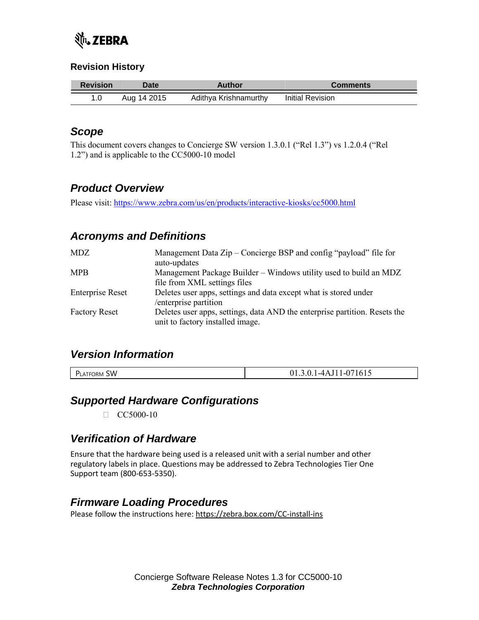

#### **Revision History**

| <b>Revision</b> | Date i      | <b>Author</b>         | <b>Comments</b>  |
|-----------------|-------------|-----------------------|------------------|
|                 | Aug 14 2015 | Adithya Krishnamurthy | Initial Revision |

### *Scope*

This document covers changes to Concierge SW version 1.3.0.1 ("Rel 1.3") vs 1.2.0.4 ("Rel 1.2") and is applicable to the CC5000-10 model

# *Product Overview*

Please visit:<https://www.zebra.com/us/en/products/interactive-kiosks/cc5000.html>

# *Acronyms and Definitions*

| MDZ                     | Management Data Zip – Concierge BSP and config "payload" file for<br>auto-updates                              |
|-------------------------|----------------------------------------------------------------------------------------------------------------|
| <b>MPB</b>              | Management Package Builder – Windows utility used to build an MDZ                                              |
|                         | file from XML settings files                                                                                   |
| <b>Enterprise Reset</b> | Deletes user apps, settings and data except what is stored under<br>enterprise partition                       |
| <b>Factory Reset</b>    | Deletes user apps, settings, data AND the enterprise partition. Resets the<br>unit to factory installed image. |

#### *Version Information*

| <b>SW</b><br>TFORM.<br>יש<br>LATF | - - -<br>10<br>ت - 1<br><br>.<br>. . |
|-----------------------------------|--------------------------------------|
|                                   |                                      |

#### *Supported Hardware Configurations*

 $\Box$  CC5000-10

# *Verification of Hardware*

Ensure that the hardware being used is a released unit with a serial number and other regulatory labels in place. Questions may be addressed to Zebra Technologies Tier One Support team (800-653-5350).

# *Firmware Loading Procedures*

Please follow the instructions here:<https://zebra.box.com/CC-install-ins>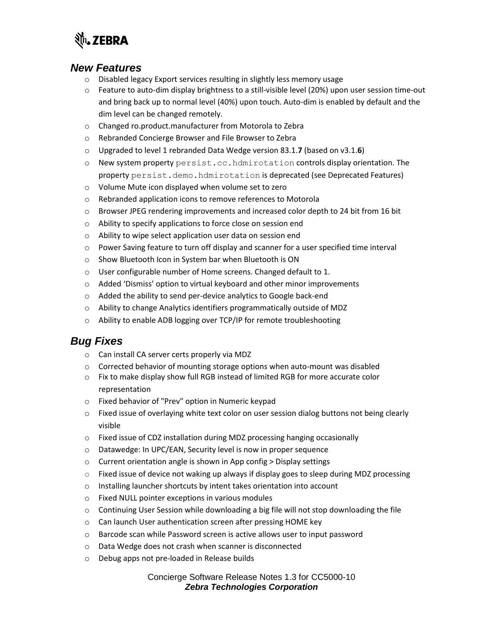

#### *New Features*

- o Disabled legacy Export services resulting in slightly less memory usage
- o Feature to auto-dim display brightness to a still-visible level (20%) upon user session time-out and bring back up to normal level (40%) upon touch. Auto-dim is enabled by default and the dim level can be changed remotely.
- o Changed ro.product.manufacturer from Motorola to Zebra
- o Rebranded Concierge Browser and File Browser to Zebra
- o Upgraded to level 1 rebranded Data Wedge version 83.1.**7** (based on v3.1.**6**)
- o New system property persist.cc.hdmirotation controls display orientation. The property persist.demo.hdmirotation is deprecated (see Deprecated Features)
- o Volume Mute icon displayed when volume set to zero
- o Rebranded application icons to remove references to Motorola
- $\circ$  Browser JPEG rendering improvements and increased color depth to 24 bit from 16 bit
- o Ability to specify applications to force close on session end
- o Ability to wipe select application user data on session end
- $\circ$  Power Saving feature to turn off display and scanner for a user specified time interval
- o Show Bluetooth Icon in System bar when Bluetooth is ON
- o User configurable number of Home screens. Changed default to 1.
- o Added 'Dismiss' option to virtual keyboard and other minor improvements
- o Added the ability to send per-device analytics to Google back-end
- o Ability to change Analytics identifiers programmatically outside of MDZ
- o Ability to enable ADB logging over TCP/IP for remote troubleshooting

#### *Bug Fixes*

- o Can install CA server certs properly via MDZ
- $\circ$  Corrected behavior of mounting storage options when auto-mount was disabled
- o Fix to make display show full RGB instead of limited RGB for more accurate color representation
- o Fixed behavior of "Prev" option in Numeric keypad
- $\circ$  Fixed issue of overlaying white text color on user session dialog buttons not being clearly visible
- o Fixed issue of CDZ installation during MDZ processing hanging occasionally
- o Datawedge: In UPC/EAN, Security level is now in proper sequence
- o Current orientation angle is shown in App config > Display settings
- $\circ$  Fixed issue of device not waking up always if display goes to sleep during MDZ processing
- o Installing launcher shortcuts by intent takes orientation into account
- o Fixed NULL pointer exceptions in various modules
- $\circ$  Continuing User Session while downloading a big file will not stop downloading the file
- o Can launch User authentication screen after pressing HOME key
- o Barcode scan while Password screen is active allows user to input password
- o Data Wedge does not crash when scanner is disconnected
- o Debug apps not pre-loaded in Release builds

#### Concierge Software Release Notes 1.3 for CC5000-10 *Zebra Technologies Corporation*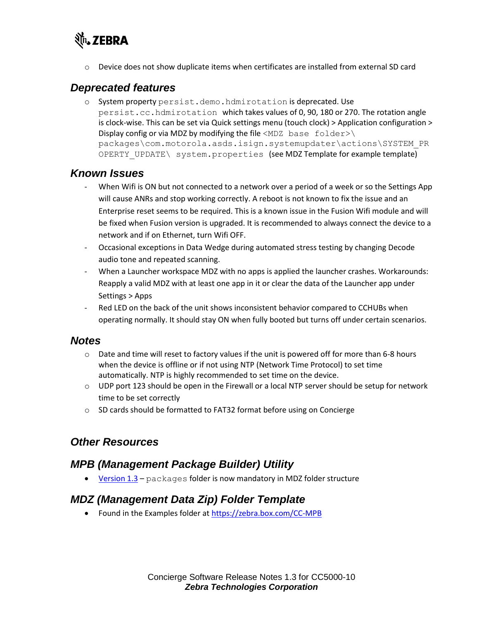

 $\circ$  Device does not show duplicate items when certificates are installed from external SD card

### *Deprecated features*

o System property persist.demo.hdmirotation is deprecated. Use persist.cc.hdmirotation which takes values of 0, 90, 180 or 270. The rotation angle is clock-wise. This can be set via Quick settings menu (touch clock) > Application configuration > Display config or via MDZ by modifying the file <MDZ base  $folder\lambda$ packages\com.motorola.asds.isign.systemupdater\actions\SYSTEM\_PR OPERTY UPDATE\ system.properties (see MDZ Template for example template)

#### *Known Issues*

- When Wifi is ON but not connected to a network over a period of a week or so the Settings App will cause ANRs and stop working correctly. A reboot is not known to fix the issue and an Enterprise reset seems to be required. This is a known issue in the Fusion Wifi module and will be fixed when Fusion version is upgraded. It is recommended to always connect the device to a network and if on Ethernet, turn Wifi OFF.
- Occasional exceptions in Data Wedge during automated stress testing by changing Decode audio tone and repeated scanning.
- When a Launcher workspace MDZ with no apps is applied the launcher crashes. Workarounds: Reapply a valid MDZ with at least one app in it or clear the data of the Launcher app under Settings > Apps
- Red LED on the back of the unit shows inconsistent behavior compared to CCHUBs when operating normally. It should stay ON when fully booted but turns off under certain scenarios.

#### *Notes*

- $\circ$  Date and time will reset to factory values if the unit is powered off for more than 6-8 hours when the device is offline or if not using NTP (Network Time Protocol) to set time automatically. NTP is highly recommended to set time on the device.
- $\circ$  UDP port 123 should be open in the Firewall or a local NTP server should be setup for network time to be set correctly
- o SD cards should be formatted to FAT32 format before using on Concierge

#### *Other Resources*

#### *MPB (Management Package Builder) Utility*

[Version 1.3](https://zebra.box.com/CC-MPB) – packages folder is now mandatory in MDZ folder structure

# *MDZ (Management Data Zip) Folder Template*

• Found in the Examples folder at<https://zebra.box.com/CC-MPB>